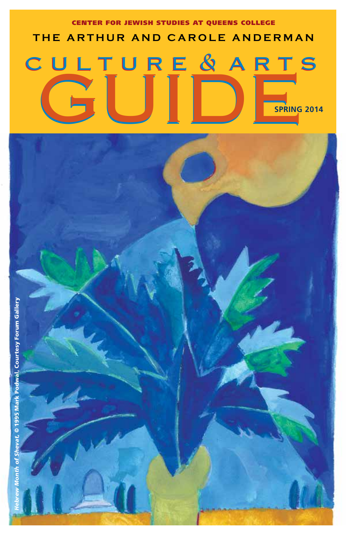# CULTURE & ARTS Center for Jewish Studies at Queens College **The Ar t hur a nd C a role Anderm a n Spring 2014**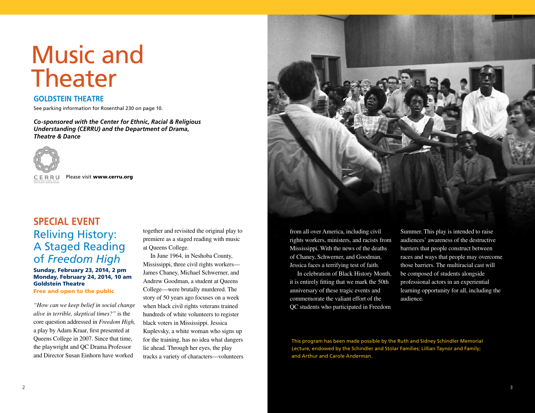# Music and Theater

### **Goldstein Theatre**

See parking information for Rosenthal 230 on page 10.

*Co-sponsored with the Center for Ethnic, Racial & Religious Understanding (CERRU) and the Department of Drama, Theatre & Dance*



Please visit www.cerru.org

### **Special Event** Reliving History: A Staged Reading of *Freedom High*

Sunday, February 23, 2014, 2 pm Monday, February 24, 2014, 10 am Goldstein Theatre

Free and open to the public

*"How can we keep belief in social change alive in terrible, skeptical times?"* is the core question addressed in *Freedom High,* a play by Adam Kraar, first presented at Queens College in 2007. Since that time, the playwright and QC Drama Professor and Director Susan Einhorn have worked

together and revisited the original play to premiere as a staged reading with music at Queens College.

In June 1964, in Neshoba County, Mississippi, three civil rights workers— James Chaney, Michael Schwerner, and Andrew Goodman, a student at Queens College—were brutally murdered. The story of 50 years ago focuses on a week when black civil rights veterans trained hundreds of white volunteers to register black voters in Mississippi. Jessica Kuplevsky, a white woman who signs up for the training, has no idea what dangers lie ahead. Through her eyes, the play tracks a variety of characters—volunteers



from all over America, including civil rights workers, ministers, and racists from Mississippi. With the news of the deaths of Chaney, Schwerner, and Goodman, Jessica faces a terrifying test of faith.

In celebration of Black History Month, it is entirely fitting that we mark the 50th anniversary of these tragic events and commemorate the valiant effort of the QC students who participated in Freedom Summer. This play is intended to raise audiences' awareness of the destructive barriers that people construct between races and ways that people may overcome those barriers. The multiracial cast will be composed of students alongside professional actors in an experiential learning opportunity for all, including the audience.

This program has been made possible by the Ruth and Sidney Schindler Memorial Lecture, endowed by the Schindler and Stolar Families; Lillian Taynor and Family; and Arthur and Carole Anderman.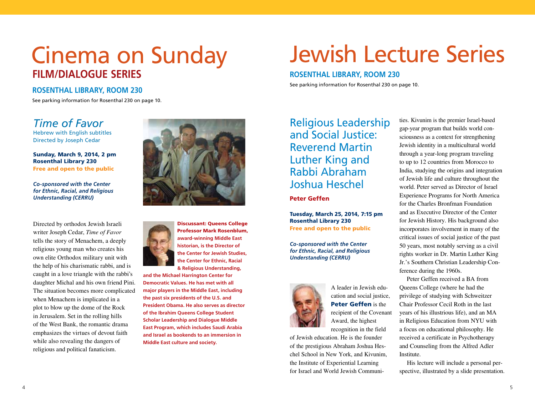## Cinema on Sunday **film/dialogue series**

### **Rosenthal library, room 230**

See parking information for Rosenthal 230 on page 10.

### *Time of Favor*

Hebrew with English subtitles Directed by Joseph Cedar

Sunday, March 9, 2014, 2 pm Rosenthal Library 230 Free and open to the public

### *Co-sponsored with the Center for Ethnic, Racial, and Religious Understanding (CERRU)*

Directed by orthodox Jewish Israeli writer Joseph Cedar, *Time of Favor*  tells the story of Menachem, a deeply religious young man who creates his own elite Orthodox military unit with the help of his charismatic rabbi, and is caught in a love triangle with the rabbi's daughter Michal and his own friend Pini. The situation becomes more complicated when Menachem is implicated in a plot to blow up the dome of the Rock in Jerusalem. Set in the rolling hills of the West Bank, the romantic drama emphasizes the virtues of devout faith while also revealing the dangers of religious and political fanaticism.



Discussant: Queens College Professor Mark Rosenblum, **award-winning Middle East historian, is the Director of the Center for Jewish Studies, the Center for Ethnic, Racial & Religious Understanding,** 

**and the Michael Harrington Center for Democratic Values. He has met with all major players in the Middle East, including the past six presidents of the U.S. and President Obama. He also serves as director of the Ibrahim Queens College Student Scholar Leadership and Dialogue Middle East Program, which includes Saudi Arabia and Israel as bookends to an immersion in Middle East culture and society.** 

# Jewish Lecture Series

### **Rosenthal library, room 230**

See parking information for Rosenthal 230 on page 10.

Religious Leadership and Social Justice: Reverend Martin Luther King and Rabbi Abraham Joshua Heschel

### Peter Geffen

Tuesday, March 25, 2014, 7:15 pm Rosenthal Library 230 Free and open to the public

*Co-sponsored with the Center for Ethnic, Racial, and Religious Understanding (CERRU)*



A leader in Jewish education and social justice, Peter Geffen is the recipient of the Covenant Award, the highest

recognition in the field of Jewish education. He is the founder

of the prestigious Abraham Joshua Heschel School in New York, and Kivunim, the Institute of Experiential Learning for Israel and World Jewish Communi-

ties. Kivunim is the premier Israel-based gap-year program that builds world consciousness as a context for strengthening Jewish identity in a multicultural world through a year-long program traveling to up to 12 countries from Morocco to India, studying the origins and integration of Jewish life and culture throughout the world. Peter served as Director of Israel Experience Programs for North America for the Charles Bronfman Foundation and as Executive Director of the Center for Jewish History. His background also incorporates involvement in many of the critical issues of social justice of the past 50 years, most notably serving as a civil rights worker in Dr. Martin Luther King Jr.'s Southern Christian Leadership Conference during the 1960s.

Peter Geffen received a BA from Queens College (where he had the privilege of studying with Schweitzer Chair Professor Cecil Roth in the last years of his illustrious life), and an MA in Religious Education from NYU with a focus on educational philosophy. He received a certificate in Psychotherapy and Counseling from the Alfred Adler Institute.

His lecture will include a personal perspective, illustrated by a slide presentation.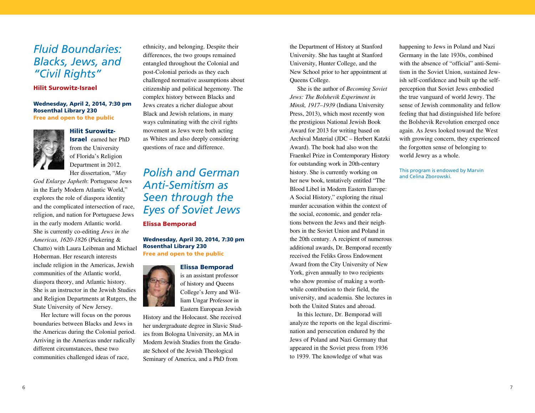### *Fluid Boundaries: Blacks, Jews, and "Civil Rights"*

### Hilit Surowitz-Israel

Wednesday, April 2, 2014, 7:30 pm Rosenthal Library 230 Free and open to the public



Hilit Surowitz-

Israel earned her PhD from the University of Florida's Religion Department in 2012. Her dissertation, "*May* 

*God Enlarge Japheth*: Portuguese Jews in the Early Modern Atlantic World," explores the role of diaspora identity and the complicated intersection of race, religion, and nation for Portuguese Jews in the early modern Atlantic world. She is currently co-editing *Jews in the Americas, 1620-1826* (Pickering & Chatto) with Laura Leibman and Michael Hoberman. Her research interests include religion in the Americas, Jewish communities of the Atlantic world, diaspora theory, and Atlantic history. She is an instructor in the Jewish Studies and Religion Departments at Rutgers, the State University of New Jersey.

Her lecture will focus on the porous boundaries between Blacks and Jews in the Americas during the Colonial period. Arriving in the Americas under radically different circumstances, these two communities challenged ideas of race,

ethnicity, and belonging. Despite their differences, the two groups remained entangled throughout the Colonial and post-Colonial periods as they each challenged normative assumptions about citizenship and political hegemony. The complex history between Blacks and Jews creates a richer dialogue about Black and Jewish relations, in many ways culminating with the civil rights movement as Jews were both acting as Whites and also deeply considering questions of race and difference.

### *Polish and German Anti-Semitism as Seen through the Eyes of Soviet Jews* Elissa Bemporad

Wednesday, April 30, 2014, 7:30 pm Rosenthal Library 230 Free and open to the public

#### Elissa Bemporad



is an assistant professor of history and Queens College's Jerry and William Ungar Professor in Eastern European Jewish

History and the Holocaust. She received her undergraduate degree in Slavic Studies from Bologna University, an MA in Modern Jewish Studies from the Graduate School of the Jewish Theological Seminary of America, and a PhD from

the Department of History at Stanford University. She has taught at Stanford University, Hunter College, and the New School prior to her appointment at Queens College.

She is the author of *Becoming Soviet Jews: The Bolshevik Experiment in Minsk, 1917–1939* (Indiana University Press, 2013), which most recently won the prestigious National Jewish Book Award for 2013 for writing based on Archival Material (JDC – Herbert Katzki Award). The book had also won the Fraenkel Prize in Comtemporary History for outstanding work in 20th-century history. She is currently working on her new book, tentatively entitled "The Blood Libel in Modern Eastern Europe: A Social History," exploring the ritual murder accusation within the context of the social, economic, and gender relations between the Jews and their neighbors in the Soviet Union and Poland in the 20th century. A recipient of numerous additional awards, Dr. Bemporad recently received the Feliks Gross Endowment Award from the City University of New York, given annually to two recipients who show promise of making a worthwhile contribution to their field, the university, and academia. She lectures in both the United States and abroad.

In this lecture, Dr. Bemporad will analyze the reports on the legal discrimination and persecution endured by the Jews of Poland and Nazi Germany that appeared in the Soviet press from 1936 to 1939. The knowledge of what was

happening to Jews in Poland and Nazi Germany in the late 1930s, combined with the absence of "official" anti-Semitism in the Soviet Union, sustained Jewish self-confidence and built up the selfperception that Soviet Jews embodied the true vanguard of world Jewry. The sense of Jewish commonality and fellow feeling that had distinguished life before the Bolshevik Revolution emerged once again. As Jews looked toward the West with growing concern, they experienced the forgotten sense of belonging to world Jewry as a whole.

This program is endowed by Marvin and Celina Zborowski.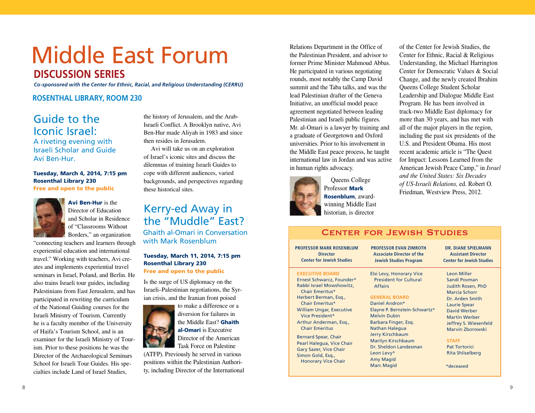## Middle East Forum **discussion series**

*Co-sponsored with the Center for Ethnic, Racial, and Religious Understanding (CERRU)* 

**Rosenthal library, room 230**

### Guide to the Iconic Israel:

A riveting evening with Israeli Scholar and Guide Avi Ben-Hur.

Tuesday, March 4, 2014, 7:15 pm Rosenthal Library 230 Free and open to the public



Avi Ben-Hur is the Director of Education and Scholar in Residence of "Classrooms Without Borders," an organization

"connecting teachers and learners through experiential education and international travel." Working with teachers, Avi creates and implements experiential travel seminars in Israel, Poland, and Berlin. He also trains Israeli tour guides, including Palestinians from East Jerusalem, and has participated in rewriting the curriculum of the National Guiding courses for the Israeli Ministry of Tourism. Currently he is a faculty member of the University of Haifa's Tourism School, and is an examiner for the Israeli Ministry of Tourism. Prior to these positions he was the Director of the Archaeological Seminars School for Israeli Tour Guides. His specialties include Land of Israel Studies,

the history of Jerusalem, and the Arab-Israeli Conflict. A Brooklyn native, Avi Ben-Hur made Aliyah in 1983 and since then resides in Jerusalem.

Avi will take us on an exploration of Israel's iconic sites and discuss the dilemmas of training Israeli Guides to cope with different audiences, varied backgrounds, and perspectives regarding these historical sites.

### Kerry-ed Away in the "Muddle" East? Ghaith al-Omari in Conversation

with Mark Rosenblum

### Tuesday, March 11, 2014, 7:15 pm Rosenthal Library 230

Free and open to the public

Is the surge of US diplomacy on the Israeli–Palestinian negotiations, the Syrian crisis, and the Iranian front poised



to make a difference or a diversion for failures in the Middle East? **Ghaith** al-Omari is Executive Director of the American Task Force on Palestine

(ATFP). Previously he served in various positions within the Palestinian Authority, including Director of the International

Relations Department in the Office of the Palestinian President, and advisor to former Prime Minister Mahmoud Abbas. He participated in various negotiating rounds, most notably the Camp David summit and the Taba talks, and was the lead Palestinian drafter of the Geneva Initiative, an unofficial model peace agreement negotiated between leading Palestinian and Israeli public figures. Mr. al-Omari is a lawyer by training and a graduate of Georgetown and Oxford universities. Prior to his involvement in the Middle East peace process, he taught international law in Jordan and was active in human rights advocacy.



 Queens College Professor Mark Rosenblum, awardwinning Middle East historian, is director

of the Center for Jewish Studies, the Center for Ethnic, Racial & Religious Understanding, the Michael Harrington Center for Democratic Values & Social Change, and the newly created Ibrahim Queens College Student Scholar Leadership and Dialogue Middle East Program. He has been involved in track-two Middle East diplomacy for more than 30 years, and has met with all of the major players in the region, including the past six presidents of the U.S. and President Obama. His most recent academic article is "The Quest for Impact: Lessons Learned from the American Jewish Peace Camp," in *Israel and the United States: Six Decades of US-Israeli Relations,* ed. Robert O. Friedman, Westview Press, 2012.

#### **EXECUTIVE BOARD** Ernest Schwarcz, Founder\* Rabbi Israel Mowshowitz, Chair Emeritus\* Herbert Berman, Esq., Chair Emeritus\* William Ungar, Executive Vice President\* Arthur Anderman, Esq., Chair Emeritus Bernard Spear, Chair Pearl Halegua, Vice Chair Gary Sazer, Vice Chair Simon Gold, Esq., Honorary Vice Chair Elsi Levy, Honorary Vice President for Cultural Affairs **GENERAL BOARD** Daniel Andron\* Elayne P. Bernstein-Schwartz\* Melvin Dubin Barbara Finger, Esq. Nathan Halegua Jerry Kirschbaum Marilyn Kirschbaum Dr. Sheldon Landesman Leon Levy\* Amy Magid Marc Magid Leon Miller Sandi Povman Judith Rosen, PhD Marcia Schorr Dr. Arden Smith Laurie Spear David Werber Martin Werber Jeffrey S. Wiesenfeld Marvin Zborowski **STAFF** Pat Tortorici Rita Shliselberg **Professor Mark Rosenblum Director Center for Jewish Studies** \*deceased **Dr. Diane Spielmann Assistant Director Center for Jewish Studies Professor Evan Zimroth Associate Director of the Jewish Studies Program**

Center for Jewish Studies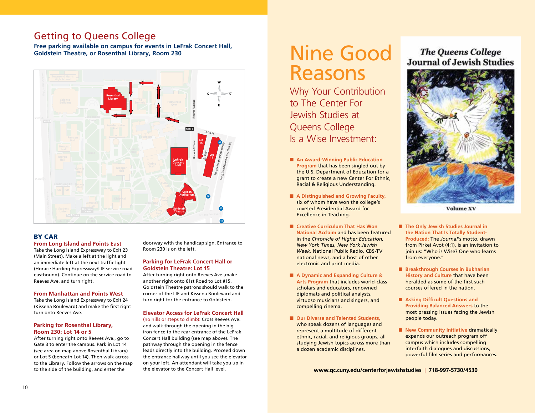### **Getting to Queens College**

Free parking available on campus for events in LeFrak Concert Hall, **Goldstein Theatre, or Rosenthal Library, Room 230 PS/IS Softball <sup>499</sup> Field Tennis Courts**



### By car

### **From Long Island and Points East**

Take the Long Island Expressway to Exit 23 (Main Street). Make a left at the light and an immediate left at the next traffic light (Horace Harding Expressway/LIE service road eastbound). Continue on the service road to Reeves Ave. and turn right.

#### **From Manhattan and Points West**

Take the Long Island Expressway to Exit 24 (Kissena Boulevard) and make the first right turn onto Reeves Ave.

#### **Parking for Rosenthal Library, Room 230: Lot 14 or 5**

After turning right onto Reeves Ave., go to Gate 3 to enter the campus. Park in Lot 14 (see area on map above Rosenthal Library) or Lot 5 (beneath Lot 14). Then walk across to the Library. Follow the arrows on the map to the side of the building, and enter the

doorway with the handicap sign. Entrance to Room 230 is on the left.

#### **Parking for LeFrak Concert Hall or Goldstein Theatre: Lot 15**

After turning right onto Reeves Ave.,make another right onto 61st Road to Lot #15. Goldstein Theatre patrons should walk to the corner of the LIE and Kissena Boulevard and turn right for the entrance to Goldstein.

#### **Elevator Access for LeFrak Concert Hall**

(no hills or steps to climb): Cross Reeves Ave. and walk through the opening in the big iron fence to the rear entrance of the LeFrak Concert Hall building (see map above). The pathway through the opening in the fence leads directly into the building. Proceed down the entrance hallway until you see the elevator on your left. An attendant will take you up in the elevator to the Concert Hall level.

## Nine Good Reasons

Why Your Contribution to The Center For Jewish Studies at Queens College Is a Wise Investment:

- **n** An Award-Winning Public Education **Program** that has been singled out by the U.S. Department of Education for a grant to create a new Center For Ethnic, Racial & Religious Understanding.
- A Distinguished and Growing Faculty, six of whom have won the college's coveted Presidential Award for Excellence in Teaching.
- Creative Curriculum That Has Won **National Acclaim** and has been featured in the *Chronicle of Higher Education, New York Times, New York Jewish Week,* National Public Radio*,* CBS-TV national news, and a host of other electronic and print media.
- A Dynamic and Expanding Culture & **Arts Program** that includes world-class scholars and educators, renowned diplomats and political analysts, virtuoso musicians and singers, and compelling cinema.
- Our Diverse and Talented Students. who speak dozens of languages and represent a multitude of different ethnic, racial, and religious groups, all studying Jewish topics across more than a dozen academic disciplines.

### **The Oueens College Journal of Jewish Studies**



**Volume XV** 

- The Only Jewish Studies Journal in **the Nation That Is Totally Student-Produced:** The *Journal*'s motto, drawn from Pirkei Avot (4:1), is an invitation to join us: "Who is Wise? One who learns from everyone."
- **n** Breakthrough Courses in Bukharian **History and Culture** that have been heralded as some of the first such courses offered in the nation.
- **Asking Difficult Questions and Providing Balanced Answers** to the most pressing issues facing the Jewish people today.
- **New Community Initiative dramatically** expands our outreach program off campus which includes compelling interfaith dialogues and discussions, powerful film series and performances.

**www.qc.cuny.edu/centerforjewishstudies** | **718-997-5730/4530**